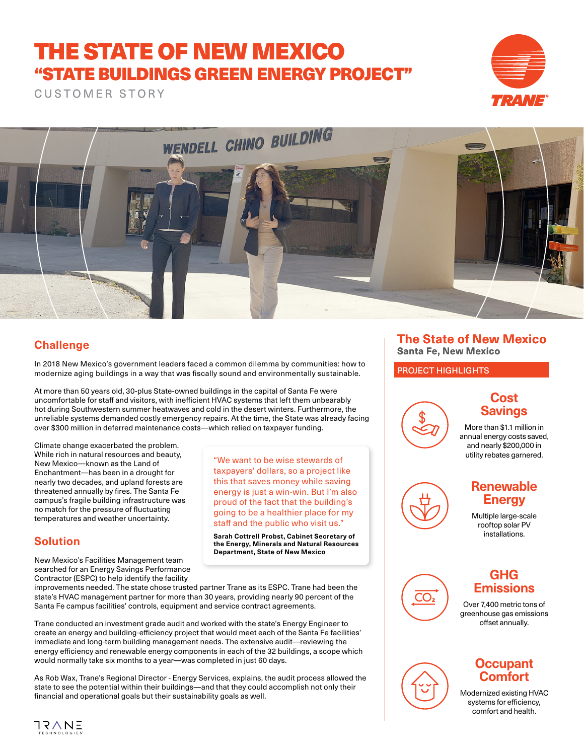# THE STATE OF NEW MEXICO "STATE BUILDINGS GREEN ENERGY PROJECT"

CUSTOMER STORY





## **Challenge**

In 2018 New Mexico's government leaders faced a common dilemma by communities: how to modernize aging buildings in a way that was fiscally sound and environmentally sustainable.

At more than 50 years old, 30-plus State-owned buildings in the capital of Santa Fe were uncomfortable for staff and visitors, with inefficient HVAC systems that left them unbearably hot during Southwestern summer heatwaves and cold in the desert winters. Furthermore, the unreliable systems demanded costly emergency repairs. At the time, the State was already facing over \$300 million in deferred maintenance costs—which relied on taxpayer funding.

Climate change exacerbated the problem. While rich in natural resources and beauty, New Mexico—known as the Land of Enchantment—has been in a drought for nearly two decades, and upland forests are threatened annually by fires. The Santa Fe campus's fragile building infrastructure was no match for the pressure of fluctuating temperatures and weather uncertainty.

"We want to be wise stewards of taxpayers' dollars, so a project like this that saves money while saving energy is just a win-win. But I'm also proud of the fact that the building's going to be a healthier place for my staff and the public who visit us."

**Sarah Cottrell Probst, Cabinet Secretary of the Energy, Minerals and Natural Resources Department, State of New Mexico**

### **Solution**

New Mexico's Facilities Management team searched for an Energy Savings Performance Contractor (ESPC) to help identify the facility

improvements needed. The state chose trusted partner Trane as its ESPC. Trane had been the state's HVAC management partner for more than 30 years, providing nearly 90 percent of the Santa Fe campus facilities' controls, equipment and service contract agreements.

Trane conducted an investment grade audit and worked with the state's Energy Engineer to create an energy and building-efficiency project that would meet each of the Santa Fe facilities' immediate and long-term building management needs. The extensive audit—reviewing the energy efficiency and renewable energy components in each of the 32 buildings, a scope which would normally take six months to a year—was completed in just 60 days.

As Rob Wax, Trane's Regional Director - Energy Services, explains, the audit process allowed the state to see the potential within their buildings—and that they could accomplish not only their financial and operational goals but their sustainability goals as well.

### **The State of New Mexico Santa Fe, New Mexico**

PROJECT HIGHLIGHTS



### **Cost Savings**

More than \$1.1 million in annual energy costs saved, and nearly \$200,000 in utility rebates garnered.

### Multiple large-scale rooftop solar PV installations.

**Renewable Energy**



### **GHG Emissions**

Over 7,400 metric tons of greenhouse gas emissions offset annually.

## **Occupant Comfort**

Modernized existing HVAC systems for efficiency, comfort and health.